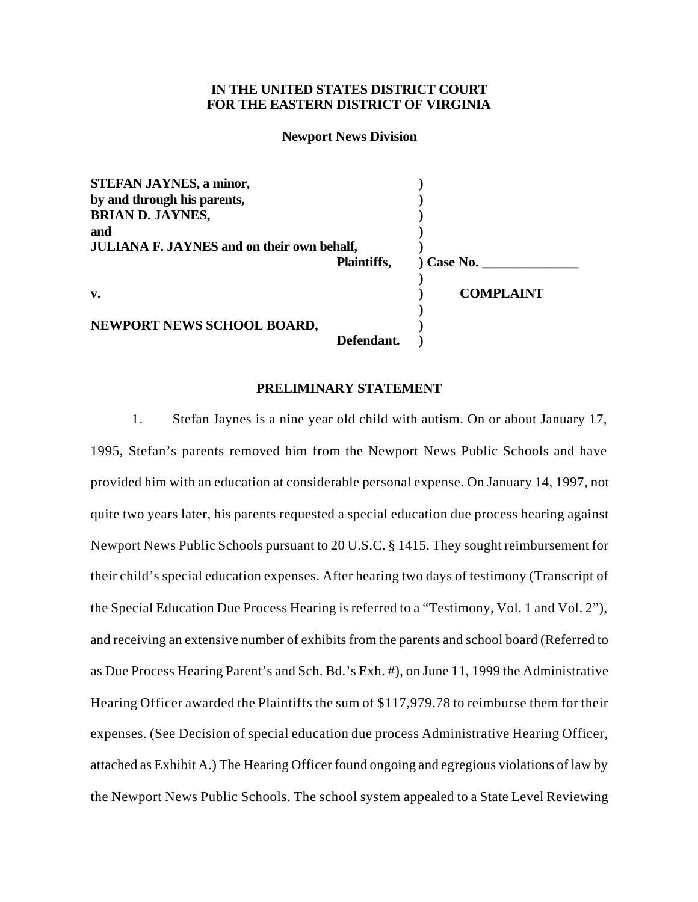# **IN THE UNITED STATES DISTRICT COURT FOR THE EASTERN DISTRICT OF VIRGINIA**

#### **Newport News Division**

| <b>STEFAN JAYNES, a minor,</b>                    |             |                  |
|---------------------------------------------------|-------------|------------------|
| by and through his parents,                       |             |                  |
| <b>BRIAN D. JAYNES,</b>                           |             |                  |
| and                                               |             |                  |
| <b>JULIANA F. JAYNES and on their own behalf,</b> |             |                  |
|                                                   | Plaintiffs, | ) Case No.       |
| v.                                                |             | <b>COMPLAINT</b> |
| NEWPORT NEWS SCHOOL BOARD,                        |             |                  |
|                                                   | Defendant.  |                  |

## **PRELIMINARY STATEMENT**

1. Stefan Jaynes is a nine year old child with autism. On or about January 17, 1995, Stefan's parents removed him from the Newport News Public Schools and have provided him with an education at considerable personal expense. On January 14, 1997, not quite two years later, his parents requested a special education due process hearing against Newport News Public Schools pursuant to 20 U.S.C. § 1415. They sought reimbursement for their child's special education expenses. After hearing two days of testimony (Transcript of the Special Education Due Process Hearing is referred to a "Testimony, Vol. 1 and Vol. 2"), and receiving an extensive number of exhibits from the parents and school board (Referred to as Due Process Hearing Parent's and Sch. Bd.'s Exh. #), on June 11, 1999 the Administrative Hearing Officer awarded the Plaintiffs the sum of \$117,979.78 to reimburse them for their expenses. (See Decision of special education due process Administrative Hearing Officer, attached as Exhibit A.) The Hearing Officer found ongoing and egregious violations of law by the Newport News Public Schools. The school system appealed to a State Level Reviewing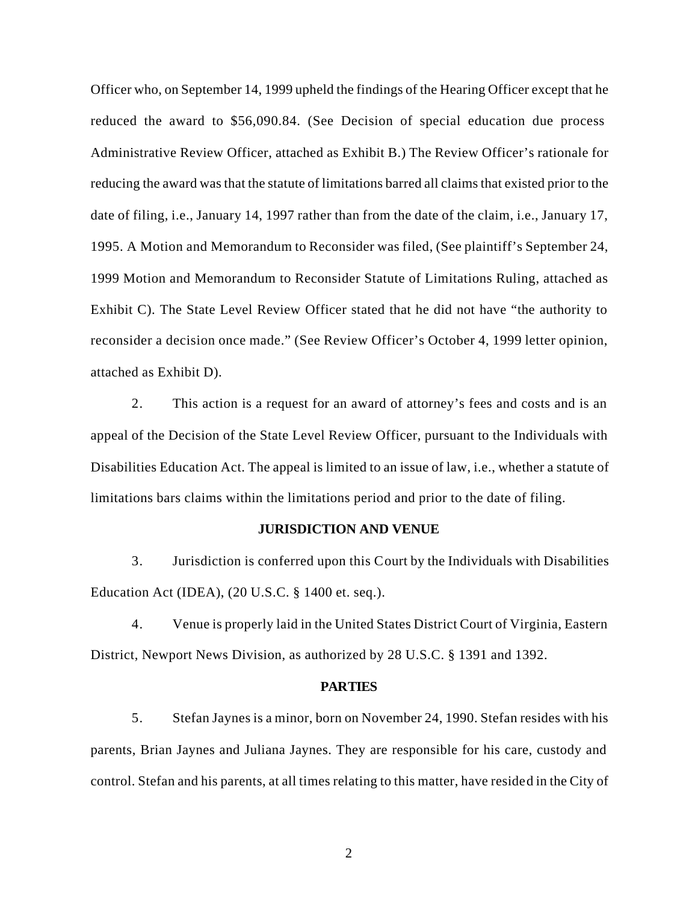Officer who, on September 14, 1999 upheld the findings of the Hearing Officer except that he reduced the award to \$56,090.84. (See Decision of special education due process Administrative Review Officer, attached as Exhibit B.) The Review Officer's rationale for reducing the award was that the statute of limitations barred all claims that existed prior to the date of filing, i.e., January 14, 1997 rather than from the date of the claim, i.e., January 17, 1995. A Motion and Memorandum to Reconsider was filed, (See plaintiff's September 24, 1999 Motion and Memorandum to Reconsider Statute of Limitations Ruling, attached as Exhibit C). The State Level Review Officer stated that he did not have "the authority to reconsider a decision once made." (See Review Officer's October 4, 1999 letter opinion, attached as Exhibit D).

2. This action is a request for an award of attorney's fees and costs and is an appeal of the Decision of the State Level Review Officer, pursuant to the Individuals with Disabilities Education Act. The appeal is limited to an issue of law, i.e., whether a statute of limitations bars claims within the limitations period and prior to the date of filing.

### **JURISDICTION AND VENUE**

3. Jurisdiction is conferred upon this Court by the Individuals with Disabilities Education Act (IDEA), (20 U.S.C. § 1400 et. seq.).

4. Venue is properly laid in the United States District Court of Virginia, Eastern District, Newport News Division, as authorized by 28 U.S.C. § 1391 and 1392.

#### **PARTIES**

5. Stefan Jaynes is a minor, born on November 24, 1990. Stefan resides with his parents, Brian Jaynes and Juliana Jaynes. They are responsible for his care, custody and control. Stefan and his parents, at all times relating to this matter, have resided in the City of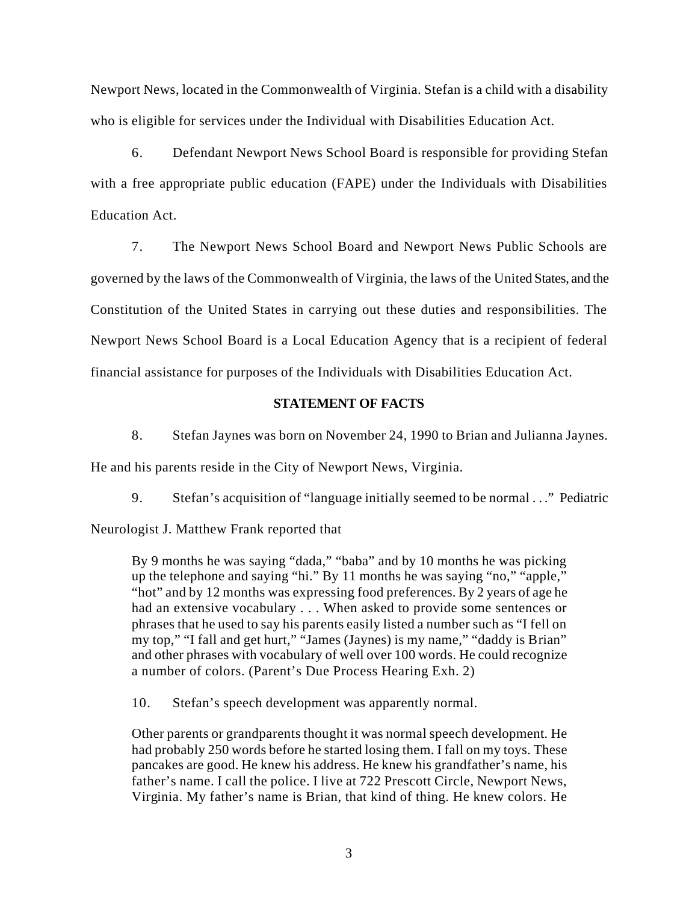Newport News, located in the Commonwealth of Virginia. Stefan is a child with a disability who is eligible for services under the Individual with Disabilities Education Act.

6. Defendant Newport News School Board is responsible for providing Stefan with a free appropriate public education (FAPE) under the Individuals with Disabilities Education Act.

7. The Newport News School Board and Newport News Public Schools are governed by the laws of the Commonwealth of Virginia, the laws of the United States, and the Constitution of the United States in carrying out these duties and responsibilities. The Newport News School Board is a Local Education Agency that is a recipient of federal financial assistance for purposes of the Individuals with Disabilities Education Act.

# **STATEMENT OF FACTS**

8. Stefan Jaynes was born on November 24, 1990 to Brian and Julianna Jaynes.

He and his parents reside in the City of Newport News, Virginia.

9. Stefan's acquisition of "language initially seemed to be normal . . ." Pediatric

Neurologist J. Matthew Frank reported that

By 9 months he was saying "dada," "baba" and by 10 months he was picking up the telephone and saying "hi." By 11 months he was saying "no," "apple," "hot" and by 12 months was expressing food preferences. By 2 years of age he had an extensive vocabulary . . . When asked to provide some sentences or phrases that he used to say his parents easily listed a number such as "I fell on my top," "I fall and get hurt," "James (Jaynes) is my name," "daddy is Brian" and other phrases with vocabulary of well over 100 words. He could recognize a number of colors. (Parent's Due Process Hearing Exh. 2)

10. Stefan's speech development was apparently normal.

Other parents or grandparents thought it was normal speech development. He had probably 250 words before he started losing them. I fall on my toys. These pancakes are good. He knew his address. He knew his grandfather's name, his father's name. I call the police. I live at 722 Prescott Circle, Newport News, Virginia. My father's name is Brian, that kind of thing. He knew colors. He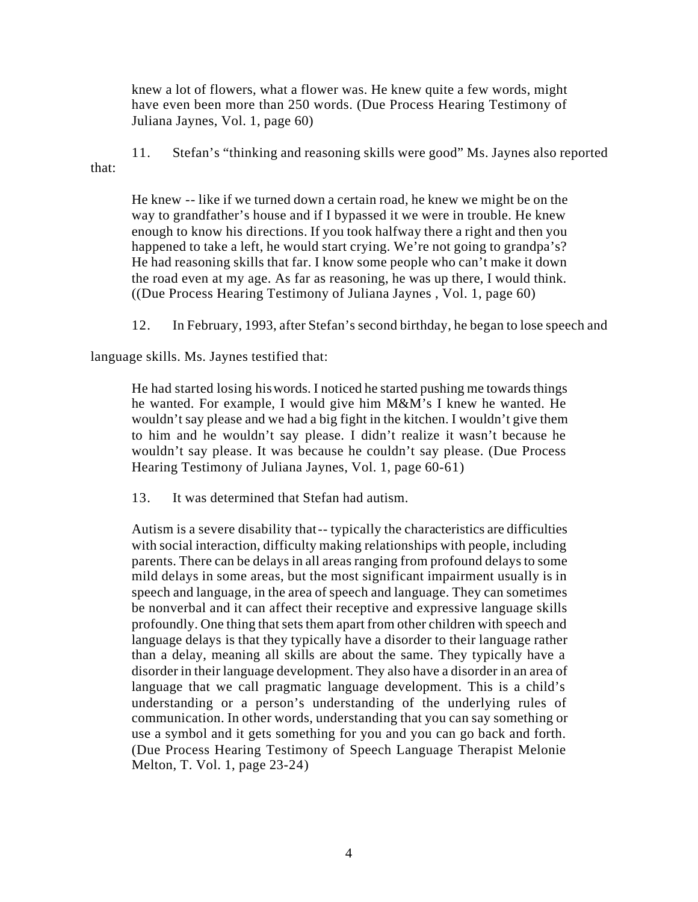knew a lot of flowers, what a flower was. He knew quite a few words, might have even been more than 250 words. (Due Process Hearing Testimony of Juliana Jaynes, Vol. 1, page 60)

11. Stefan's "thinking and reasoning skills were good" Ms. Jaynes also reported that:

He knew -- like if we turned down a certain road, he knew we might be on the way to grandfather's house and if I bypassed it we were in trouble. He knew enough to know his directions. If you took halfway there a right and then you happened to take a left, he would start crying. We're not going to grandpa's? He had reasoning skills that far. I know some people who can't make it down the road even at my age. As far as reasoning, he was up there, I would think. ((Due Process Hearing Testimony of Juliana Jaynes , Vol. 1, page 60)

12. In February, 1993, after Stefan's second birthday, he began to lose speech and

language skills. Ms. Jaynes testified that:

He had started losing his words. I noticed he started pushing me towards things he wanted. For example, I would give him M&M's I knew he wanted. He wouldn't say please and we had a big fight in the kitchen. I wouldn't give them to him and he wouldn't say please. I didn't realize it wasn't because he wouldn't say please. It was because he couldn't say please. (Due Process Hearing Testimony of Juliana Jaynes, Vol. 1, page 60-61)

13. It was determined that Stefan had autism.

Autism is a severe disability that -- typically the characteristics are difficulties with social interaction, difficulty making relationships with people, including parents. There can be delays in all areas ranging from profound delays to some mild delays in some areas, but the most significant impairment usually is in speech and language, in the area of speech and language. They can sometimes be nonverbal and it can affect their receptive and expressive language skills profoundly. One thing that sets them apart from other children with speech and language delays is that they typically have a disorder to their language rather than a delay, meaning all skills are about the same. They typically have a disorder in their language development. They also have a disorder in an area of language that we call pragmatic language development. This is a child's understanding or a person's understanding of the underlying rules of communication. In other words, understanding that you can say something or use a symbol and it gets something for you and you can go back and forth. (Due Process Hearing Testimony of Speech Language Therapist Melonie Melton, T. Vol. 1, page 23-24)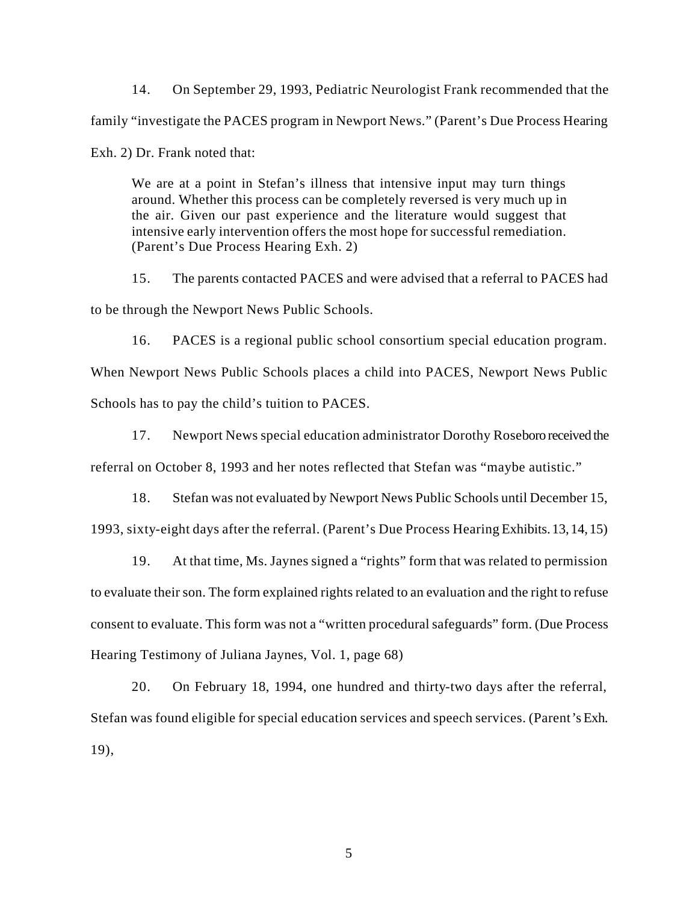14. On September 29, 1993, Pediatric Neurologist Frank recommended that the family "investigate the PACES program in Newport News." (Parent's Due Process Hearing Exh. 2) Dr. Frank noted that:

We are at a point in Stefan's illness that intensive input may turn things around. Whether this process can be completely reversed is very much up in the air. Given our past experience and the literature would suggest that intensive early intervention offers the most hope for successful remediation. (Parent's Due Process Hearing Exh. 2)

15. The parents contacted PACES and were advised that a referral to PACES had to be through the Newport News Public Schools.

16. PACES is a regional public school consortium special education program. When Newport News Public Schools places a child into PACES, Newport News Public Schools has to pay the child's tuition to PACES.

17. Newport News special education administrator Dorothy Roseboro received the referral on October 8, 1993 and her notes reflected that Stefan was "maybe autistic."

18. Stefan was not evaluated by Newport News Public Schools until December 15, 1993, sixty-eight days after the referral. (Parent's Due Process Hearing Exhibits. 13, 14, 15)

19. At that time, Ms. Jaynes signed a "rights" form that was related to permission to evaluate their son. The form explained rights related to an evaluation and the right to refuse consent to evaluate. This form was not a "written procedural safeguards" form. (Due Process Hearing Testimony of Juliana Jaynes, Vol. 1, page 68)

20. On February 18, 1994, one hundred and thirty-two days after the referral, Stefan was found eligible for special education services and speech services. (Parent's Exh. 19),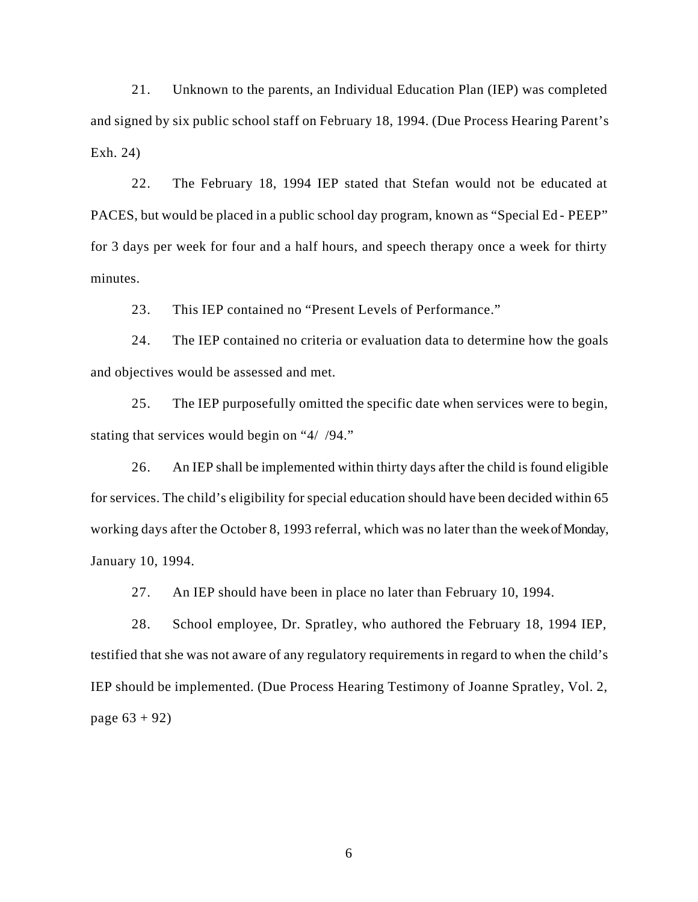21. Unknown to the parents, an Individual Education Plan (IEP) was completed and signed by six public school staff on February 18, 1994. (Due Process Hearing Parent's Exh. 24)

22. The February 18, 1994 IEP stated that Stefan would not be educated at PACES, but would be placed in a public school day program, known as "Special Ed - PEEP" for 3 days per week for four and a half hours, and speech therapy once a week for thirty minutes.

23. This IEP contained no "Present Levels of Performance."

24. The IEP contained no criteria or evaluation data to determine how the goals and objectives would be assessed and met.

25. The IEP purposefully omitted the specific date when services were to begin, stating that services would begin on "4/ /94."

26. An IEP shall be implemented within thirty days after the child is found eligible for services. The child's eligibility for special education should have been decided within 65 working days after the October 8, 1993 referral, which was no later than the week of Monday, January 10, 1994.

27. An IEP should have been in place no later than February 10, 1994.

28. School employee, Dr. Spratley, who authored the February 18, 1994 IEP, testified that she was not aware of any regulatory requirements in regard to when the child's IEP should be implemented. (Due Process Hearing Testimony of Joanne Spratley, Vol. 2, page  $63 + 92$ )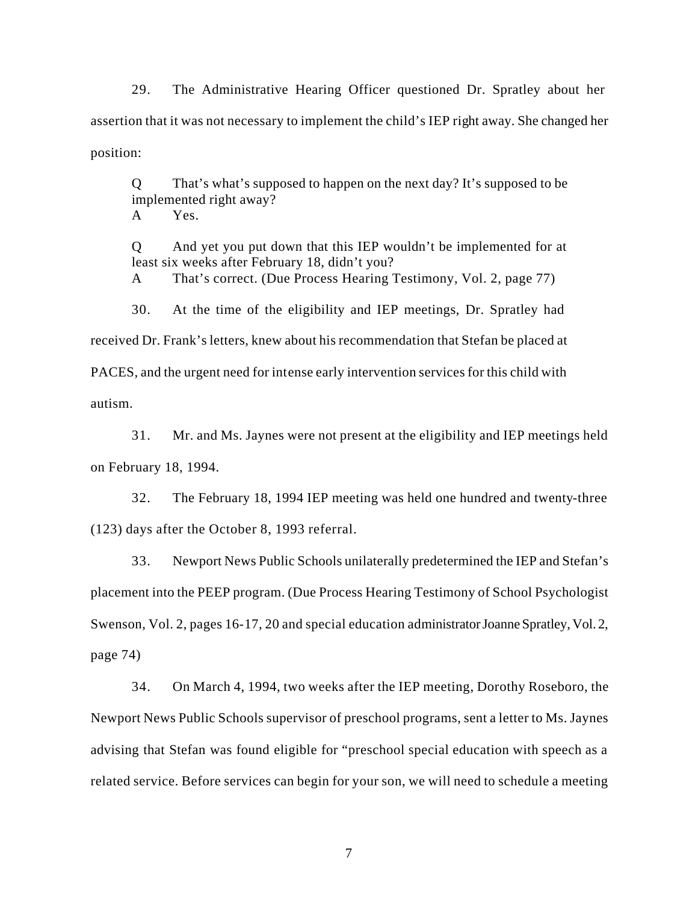29. The Administrative Hearing Officer questioned Dr. Spratley about her assertion that it was not necessary to implement the child's IEP right away. She changed her position:

Q That's what's supposed to happen on the next day? It's supposed to be implemented right away? A Yes.

Q And yet you put down that this IEP wouldn't be implemented for at least six weeks after February 18, didn't you?

A That's correct. (Due Process Hearing Testimony, Vol. 2, page 77)

30. At the time of the eligibility and IEP meetings, Dr. Spratley had received Dr. Frank's letters, knew about his recommendation that Stefan be placed at PACES, and the urgent need for intense early intervention services for this child with autism.

31. Mr. and Ms. Jaynes were not present at the eligibility and IEP meetings held on February 18, 1994.

32. The February 18, 1994 IEP meeting was held one hundred and twenty-three (123) days after the October 8, 1993 referral.

33. Newport News Public Schools unilaterally predetermined the IEP and Stefan's placement into the PEEP program. (Due Process Hearing Testimony of School Psychologist Swenson, Vol. 2, pages 16-17, 20 and special education administrator Joanne Spratley, Vol. 2, page 74)

34. On March 4, 1994, two weeks after the IEP meeting, Dorothy Roseboro, the Newport News Public Schools supervisor of preschool programs, sent a letter to Ms. Jaynes advising that Stefan was found eligible for "preschool special education with speech as a related service. Before services can begin for your son, we will need to schedule a meeting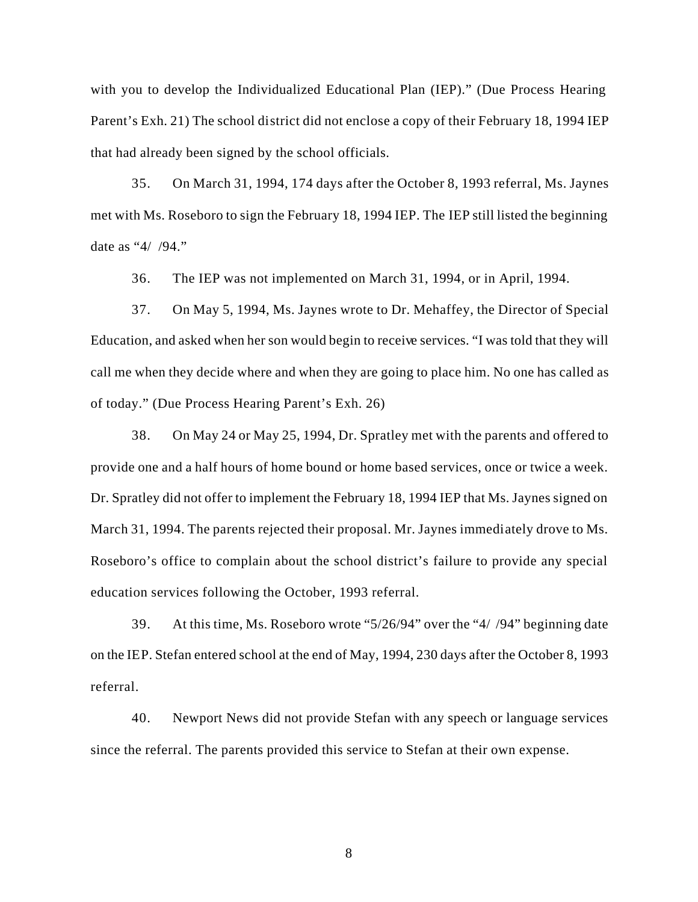with you to develop the Individualized Educational Plan (IEP)." (Due Process Hearing Parent's Exh. 21) The school district did not enclose a copy of their February 18, 1994 IEP that had already been signed by the school officials.

35. On March 31, 1994, 174 days after the October 8, 1993 referral, Ms. Jaynes met with Ms. Roseboro to sign the February 18, 1994 IEP. The IEP still listed the beginning date as "4/ /94."

36. The IEP was not implemented on March 31, 1994, or in April, 1994.

37. On May 5, 1994, Ms. Jaynes wrote to Dr. Mehaffey, the Director of Special Education, and asked when her son would begin to receive services. "I was told that they will call me when they decide where and when they are going to place him. No one has called as of today." (Due Process Hearing Parent's Exh. 26)

38. On May 24 or May 25, 1994, Dr. Spratley met with the parents and offered to provide one and a half hours of home bound or home based services, once or twice a week. Dr. Spratley did not offer to implement the February 18, 1994 IEP that Ms. Jaynes signed on March 31, 1994. The parents rejected their proposal. Mr. Jaynes immediately drove to Ms. Roseboro's office to complain about the school district's failure to provide any special education services following the October, 1993 referral.

39. At this time, Ms. Roseboro wrote "5/26/94" over the "4/ /94" beginning date on the IEP. Stefan entered school at the end of May, 1994, 230 days after the October 8, 1993 referral.

40. Newport News did not provide Stefan with any speech or language services since the referral. The parents provided this service to Stefan at their own expense.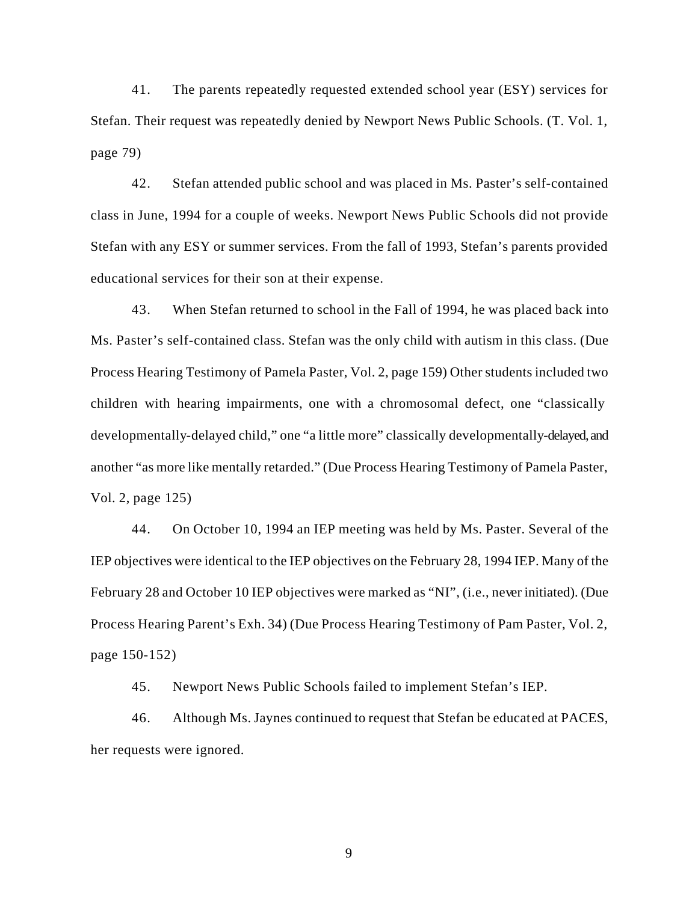41. The parents repeatedly requested extended school year (ESY) services for Stefan. Their request was repeatedly denied by Newport News Public Schools. (T. Vol. 1, page 79)

42. Stefan attended public school and was placed in Ms. Paster's self-contained class in June, 1994 for a couple of weeks. Newport News Public Schools did not provide Stefan with any ESY or summer services. From the fall of 1993, Stefan's parents provided educational services for their son at their expense.

43. When Stefan returned to school in the Fall of 1994, he was placed back into Ms. Paster's self-contained class. Stefan was the only child with autism in this class. (Due Process Hearing Testimony of Pamela Paster, Vol. 2, page 159) Other students included two children with hearing impairments, one with a chromosomal defect, one "classically developmentally-delayed child," one "a little more" classically developmentally-delayed, and another "as more like mentally retarded." (Due Process Hearing Testimony of Pamela Paster, Vol. 2, page 125)

44. On October 10, 1994 an IEP meeting was held by Ms. Paster. Several of the IEP objectives were identical to the IEP objectives on the February 28, 1994 IEP. Many of the February 28 and October 10 IEP objectives were marked as "NI", (i.e., never initiated). (Due Process Hearing Parent's Exh. 34) (Due Process Hearing Testimony of Pam Paster, Vol. 2, page 150-152)

45. Newport News Public Schools failed to implement Stefan's IEP.

46. Although Ms. Jaynes continued to request that Stefan be educated at PACES, her requests were ignored.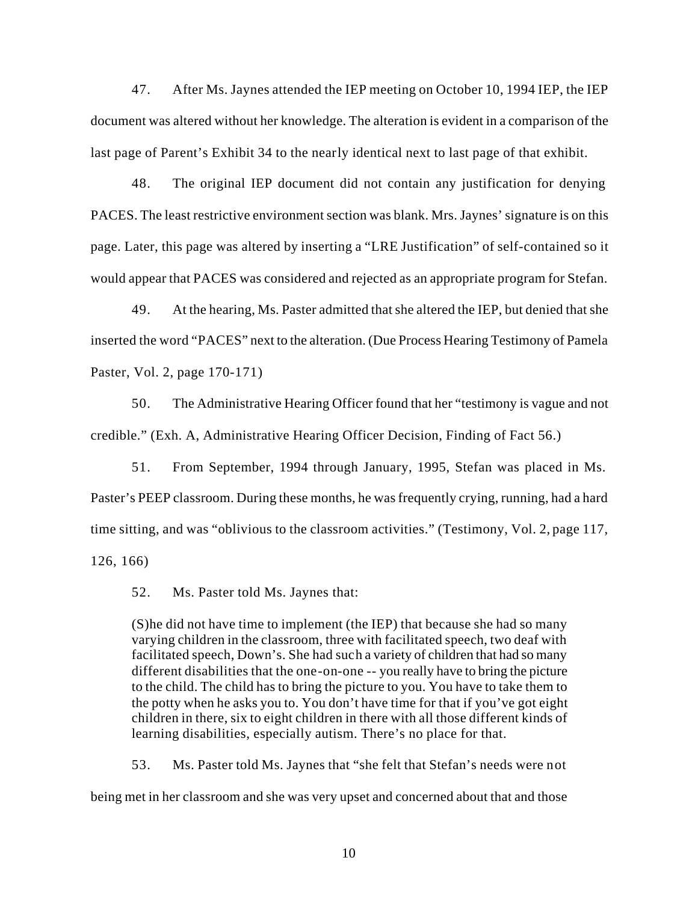47. After Ms. Jaynes attended the IEP meeting on October 10, 1994 IEP, the IEP document was altered without her knowledge. The alteration is evident in a comparison of the last page of Parent's Exhibit 34 to the nearly identical next to last page of that exhibit.

48. The original IEP document did not contain any justification for denying PACES. The least restrictive environment section was blank. Mrs. Jaynes' signature is on this page. Later, this page was altered by inserting a "LRE Justification" of self-contained so it would appear that PACES was considered and rejected as an appropriate program for Stefan.

49. At the hearing, Ms. Paster admitted that she altered the IEP, but denied that she inserted the word "PACES" next to the alteration. (Due Process Hearing Testimony of Pamela Paster, Vol. 2, page 170-171)

50. The Administrative Hearing Officer found that her "testimony is vague and not credible." (Exh. A, Administrative Hearing Officer Decision, Finding of Fact 56.)

51. From September, 1994 through January, 1995, Stefan was placed in Ms. Paster's PEEP classroom. During these months, he was frequently crying, running, had a hard time sitting, and was "oblivious to the classroom activities." (Testimony, Vol. 2, page 117, 126, 166)

52. Ms. Paster told Ms. Jaynes that:

(S)he did not have time to implement (the IEP) that because she had so many varying children in the classroom, three with facilitated speech, two deaf with facilitated speech, Down's. She had such a variety of children that had so many different disabilities that the one-on-one -- you really have to bring the picture to the child. The child has to bring the picture to you. You have to take them to the potty when he asks you to. You don't have time for that if you've got eight children in there, six to eight children in there with all those different kinds of learning disabilities, especially autism. There's no place for that.

53. Ms. Paster told Ms. Jaynes that "she felt that Stefan's needs were not being met in her classroom and she was very upset and concerned about that and those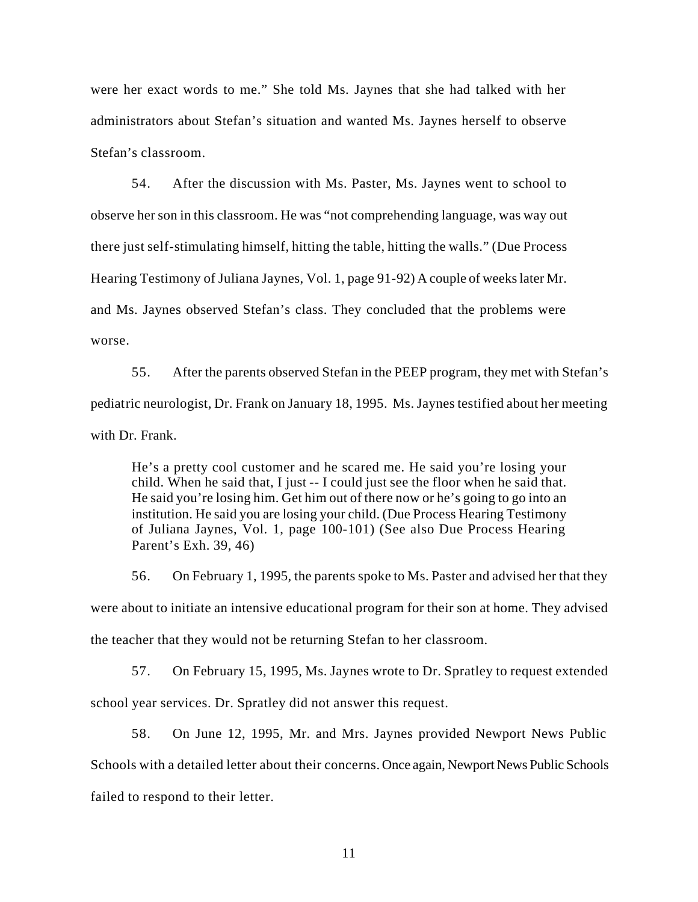were her exact words to me." She told Ms. Jaynes that she had talked with her administrators about Stefan's situation and wanted Ms. Jaynes herself to observe Stefan's classroom.

54. After the discussion with Ms. Paster, Ms. Jaynes went to school to observe her son in this classroom. He was "not comprehending language, was way out there just self-stimulating himself, hitting the table, hitting the walls." (Due Process Hearing Testimony of Juliana Jaynes, Vol. 1, page 91-92) A couple of weeks later Mr. and Ms. Jaynes observed Stefan's class. They concluded that the problems were worse.

55. After the parents observed Stefan in the PEEP program, they met with Stefan's pediatric neurologist, Dr. Frank on January 18, 1995. Ms. Jaynes testified about her meeting with Dr. Frank.

He's a pretty cool customer and he scared me. He said you're losing your child. When he said that, I just -- I could just see the floor when he said that. He said you're losing him. Get him out of there now or he's going to go into an institution. He said you are losing your child. (Due Process Hearing Testimony of Juliana Jaynes, Vol. 1, page 100-101) (See also Due Process Hearing Parent's Exh. 39, 46)

56. On February 1, 1995, the parents spoke to Ms. Paster and advised her that they were about to initiate an intensive educational program for their son at home. They advised the teacher that they would not be returning Stefan to her classroom.

57. On February 15, 1995, Ms. Jaynes wrote to Dr. Spratley to request extended school year services. Dr. Spratley did not answer this request.

58. On June 12, 1995, Mr. and Mrs. Jaynes provided Newport News Public Schools with a detailed letter about their concerns. Once again, Newport News Public Schools failed to respond to their letter.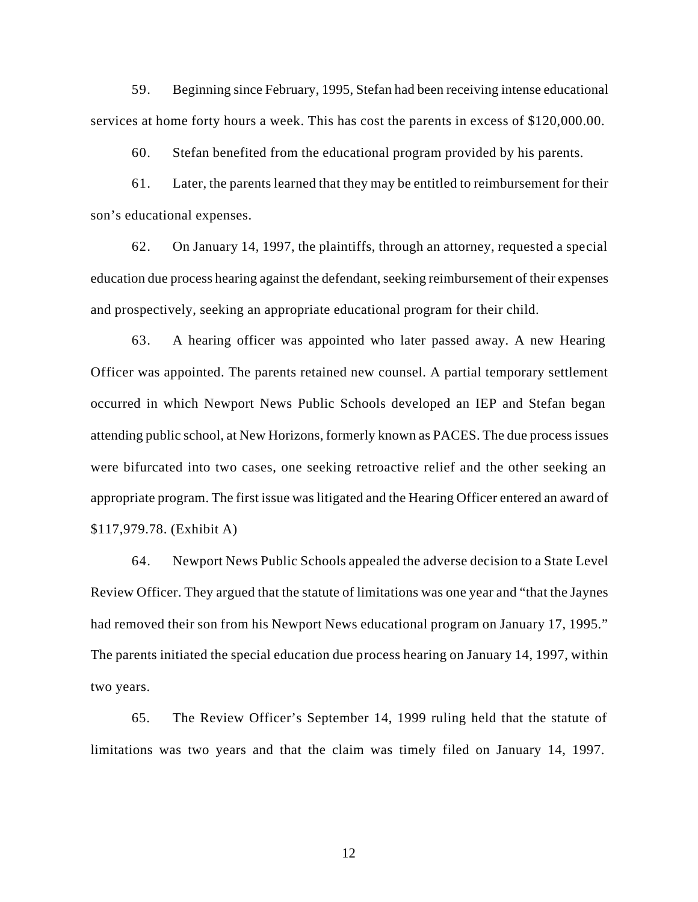59. Beginning since February, 1995, Stefan had been receiving intense educational services at home forty hours a week. This has cost the parents in excess of \$120,000.00.

60. Stefan benefited from the educational program provided by his parents.

61. Later, the parents learned that they may be entitled to reimbursement for their son's educational expenses.

62. On January 14, 1997, the plaintiffs, through an attorney, requested a special education due process hearing against the defendant, seeking reimbursement of their expenses and prospectively, seeking an appropriate educational program for their child.

63. A hearing officer was appointed who later passed away. A new Hearing Officer was appointed. The parents retained new counsel. A partial temporary settlement occurred in which Newport News Public Schools developed an IEP and Stefan began attending public school, at New Horizons, formerly known as PACES. The due process issues were bifurcated into two cases, one seeking retroactive relief and the other seeking an appropriate program. The first issue was litigated and the Hearing Officer entered an award of \$117,979.78. (Exhibit A)

64. Newport News Public Schools appealed the adverse decision to a State Level Review Officer. They argued that the statute of limitations was one year and "that the Jaynes had removed their son from his Newport News educational program on January 17, 1995." The parents initiated the special education due process hearing on January 14, 1997, within two years.

65. The Review Officer's September 14, 1999 ruling held that the statute of limitations was two years and that the claim was timely filed on January 14, 1997.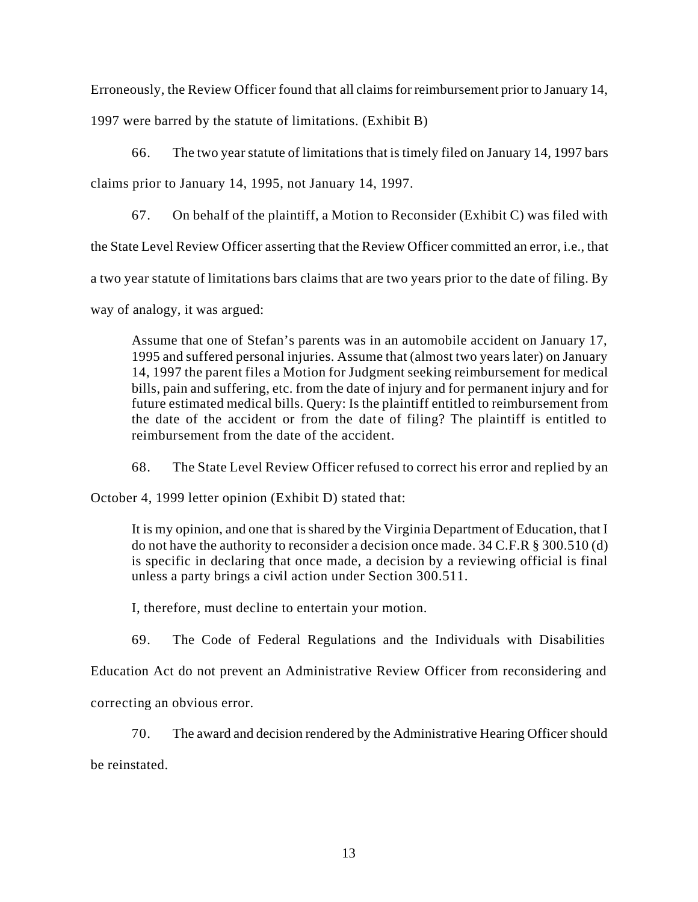Erroneously, the Review Officer found that all claims for reimbursement prior to January 14,

1997 were barred by the statute of limitations. (Exhibit B)

66. The two year statute of limitations that is timely filed on January 14, 1997 bars

claims prior to January 14, 1995, not January 14, 1997.

67. On behalf of the plaintiff, a Motion to Reconsider (Exhibit C) was filed with

the State Level Review Officer asserting that the Review Officer committed an error, i.e., that

a two year statute of limitations bars claims that are two years prior to the date of filing. By

way of analogy, it was argued:

Assume that one of Stefan's parents was in an automobile accident on January 17, 1995 and suffered personal injuries. Assume that (almost two years later) on January 14, 1997 the parent files a Motion for Judgment seeking reimbursement for medical bills, pain and suffering, etc. from the date of injury and for permanent injury and for future estimated medical bills. Query: Is the plaintiff entitled to reimbursement from the date of the accident or from the date of filing? The plaintiff is entitled to reimbursement from the date of the accident.

68. The State Level Review Officer refused to correct his error and replied by an

October 4, 1999 letter opinion (Exhibit D) stated that:

It is my opinion, and one that is shared by the Virginia Department of Education, that I do not have the authority to reconsider a decision once made. 34 C.F.R § 300.510 (d) is specific in declaring that once made, a decision by a reviewing official is final unless a party brings a civil action under Section 300.511.

I, therefore, must decline to entertain your motion.

69. The Code of Federal Regulations and the Individuals with Disabilities

Education Act do not prevent an Administrative Review Officer from reconsidering and

correcting an obvious error.

70. The award and decision rendered by the Administrative Hearing Officer should

be reinstated.